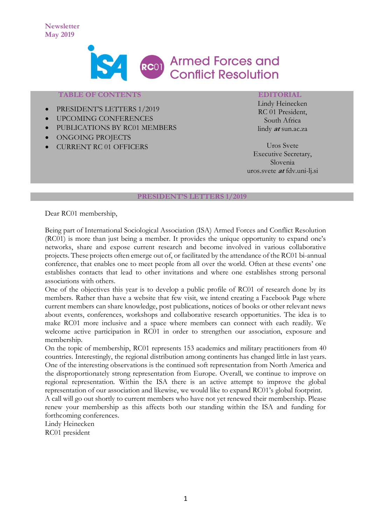

### **TABLE OF CONTENTS**

- PRESIDENT'S LETTERS 1/2019
- UPCOMING CONFERENCES
- PUBLICATIONS BY RC01 MEMBERS
- ONGOING PROJECTS
- CURRENT RC 01 OFFICERS

### **EDITORIAL**

Lindy Heinecken RC 01 President, South Africa lindy **at** sun.ac.za

Uros Svete Executive Secretary, Slovenia uros.svete **at** fdv.uni-lj.si

## **PRESIDENT'S LETTERS 1/2019**

Dear RC01 membership,

Being part of International Sociological Association (ISA) Armed Forces and Conflict Resolution (RC01) is more than just being a member. It provides the unique opportunity to expand one's networks, share and expose current research and become involved in various collaborative projects. These projects often emerge out of, or facilitated by the attendance of the RC01 bi-annual conference, that enables one to meet people from all over the world. Often at these events' one establishes contacts that lead to other invitations and where one establishes strong personal associations with others.

One of the objectives this year is to develop a public profile of RC01 of research done by its members. Rather than have a website that few visit, we intend creating a Facebook Page where current members can share knowledge, post publications, notices of books or other relevant news about events, conferences, workshops and collaborative research opportunities. The idea is to make RC01 more inclusive and a space where members can connect with each readily. We welcome active participation in RC01 in order to strengthen our association, exposure and membership.

On the topic of membership, RC01 represents 153 academics and military practitioners from 40 countries. Interestingly, the regional distribution among continents has changed little in last years. One of the interesting observations is the continued soft representation from North America and the disproportionately strong representation from Europe. Overall, we continue to improve on regional representation. Within the ISA there is an active attempt to improve the global representation of our association and likewise, we would like to expand RC01's global footprint.

A call will go out shortly to current members who have not yet renewed their membership. Please renew your membership as this affects both our standing within the ISA and funding for forthcoming conferences.

Lindy Heinecken RC01 president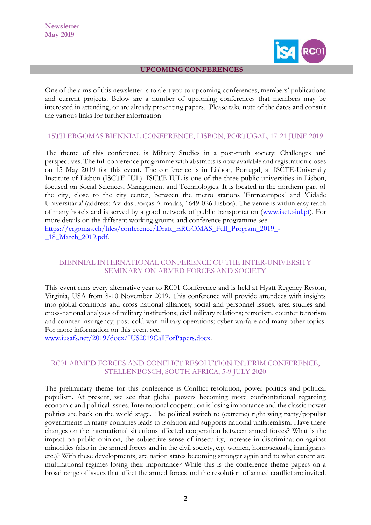

#### **UPCOMING CONFERENCES**

One of the aims of this newsletter is to alert you to upcoming conferences, members' publications and current projects. Below are a number of upcoming conferences that members may be interested in attending, or are already presenting papers. Please take note of the dates and consult the various links for further information

## 15TH ERGOMAS BIENNIAL CONFERENCE, LISBON, PORTUGAL, 17-21 JUNE 2019

The theme of this conference is Military Studies in a post-truth society: Challenges and perspectives. The full conference programme with abstracts is now available and registration closes on 15 May 2019 for this event. The conference is in Lisbon, Portugal, at ISCTE-University Institute of Lisbon (ISCTE-IUL). ISCTE-IUL is one of the three public universities in Lisbon, focused on Social Sciences, Management and Technologies. It is located in the northern part of the city, close to the city center, between the metro stations 'Entrecampos' and 'Cidade Universitária' (address: Av. das Forças Armadas, 1649-026 Lisboa). The venue is within easy reach of many hotels and is served by a good network of public transportation [\(www.iscte-iul.pt\)](http://www.iscte-iul.pt/). For more details on the different working groups and conference programme see [https://ergomas.ch/files/conference/Draft\\_ERGOMAS\\_Full\\_Program\\_2019\\_-](https://ergomas.ch/files/conference/Draft_ERGOMAS_Full_Program_2019_-_18_March_2019.pdf) 18 March 2019.pdf.

## BIENNIAL INTERNATIONAL CONFERENCE OF THE INTER-UNIVERSITY SEMINARY ON ARMED FORCES AND SOCIETY

This event runs every alternative year to RC01 Conference and is held at Hyatt Regency Reston, Virginia, USA from 8-10 November 2019. This conference will provide attendees with insights into global coalitions and cross national alliances; social and personnel issues, area studies and cross-national analyses of military institutions; civil military relations; terrorism, counter terrorism and counter-insurgency; post-cold war military operations; cyber warfare and many other topics. For more information on this event see,

[www.iusafs.net/2019/docx/IUS2019CallForPapers.docx.](http://www.iusafs.net/2019/docx/IUS2019CallForPapers.docx)

## RC01 ARMED FORCES AND CONFLICT RESOLUTION INTERIM CONFERENCE, STELLENBOSCH, SOUTH AFRICA, 5-9 JULY 2020

The preliminary theme for this conference is Conflict resolution, power politics and political populism. At present, we see that global powers becoming more confrontational regarding economic and political issues. International cooperation is losing importance and the classic power politics are back on the world stage. The political switch to (extreme) right wing party/populist governments in many countries leads to isolation and supports national unilateralism. Have these changes on the international situations affected cooperation between armed forces? What is the impact on public opinion, the subjective sense of insecurity, increase in discrimination against minorities (also in the armed forces and in the civil society, e.g. women, homosexuals, immigrants etc.)? With these developments, are nation states becoming stronger again and to what extent are multinational regimes losing their importance? While this is the conference theme papers on a broad range of issues that affect the armed forces and the resolution of armed conflict are invited.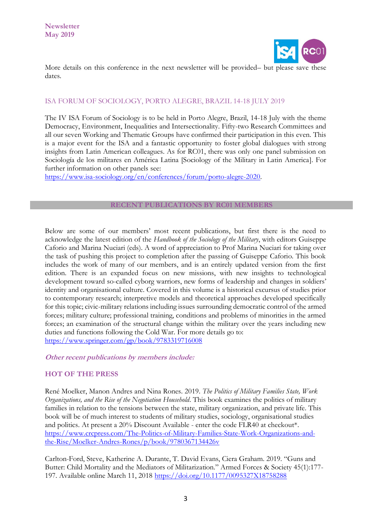

More details on this conference in the next newsletter will be provided– but please save these dates.

## ISA FORUM OF SOCIOLOGY, PORTO ALEGRE, BRAZIL 14-18 JULY 2019

The IV ISA Forum of Sociology is to be held in Porto Alegre, Brazil, 14-18 July with the theme Democracy, Environment, Inequalities and Intersectionality. Fifty-two Research Committees and all our seven Working and Thematic Groups have confirmed their participation in this even. This is a major event for the ISA and a fantastic opportunity to foster global dialogues with strong insights from Latin American colleagues. As for RC01, there was only one panel submission on Sociología de los militares en América Latina [Sociology of the Military in Latin America]. For further information on other panels see:

[https://www.isa-sociology.org/en/conferences/forum/porto-alegre-2020.](https://www.isa-sociology.org/en/conferences/forum/porto-alegre-2020)

## **RECENT PUBLICATIONS BY RC01 MEMBERS**

Below are some of our members' most recent publications, but first there is the need to acknowledge the latest edition of the *Handbook of the Sociology of the Military*, with editors Guiseppe Caforio and Marina Nuciari (eds). A word of appreciation to Prof Marina Nuciari for taking over the task of pushing this project to completion after the passing of Guiseppe Caforio. This book includes the work of many of our members, and is an entirely updated version from the first edition. There is an expanded focus on new missions, with new insights to technological development toward so-called cyborg warriors, new forms of leadership and changes in soldiers' identity and organisational culture. Covered in this volume is a historical excursus of studies prior to contemporary research; interpretive models and theoretical approaches developed specifically for this topic; civic-military relations including issues surrounding democratic control of the armed forces; military culture; professional training, conditions and problems of minorities in the armed forces; an examination of the structural change within the military over the years including new duties and functions following the Cold War. For more details go to: <https://www.springer.com/gp/book/9783319716008>

#### **Other recent publications by members include:**

## **HOT OF THE PRESS**

René Moelker, Manon Andres and Nina Rones. 2019. *The Politics of Military Families State, Work Organizations, and the Rise of the Negotiation Household*. This book examines the politics of military families in relation to the tensions between the state, military organization, and private life. This book will be of much interest to students of military studies, sociology, organisational studies and politics. At present a 20% Discount Available - enter the code FLR40 at checkout\*. [https://www.crcpress.com/The-Politics-of-Military-Families-State-Work-Organizations-and](https://www.crcpress.com/The-Politics-of-Military-Families-State-Work-Organizations-and-the-Rise/Moelker-Andres-Rones/p/book/9780367134426v)[the-Rise/Moelker-Andres-Rones/p/book/9780367134426v](https://www.crcpress.com/The-Politics-of-Military-Families-State-Work-Organizations-and-the-Rise/Moelker-Andres-Rones/p/book/9780367134426v) 

Carlton-Ford, Steve, Katherine A. Durante, T. David Evans, Ciera Graham. 2019. "Guns and Butter: Child Mortality and the Mediators of Militarization." Armed Forces & Society 45(1):177- 197. Available online March 11, 2018<https://doi.org/10.1177/0095327X18758288>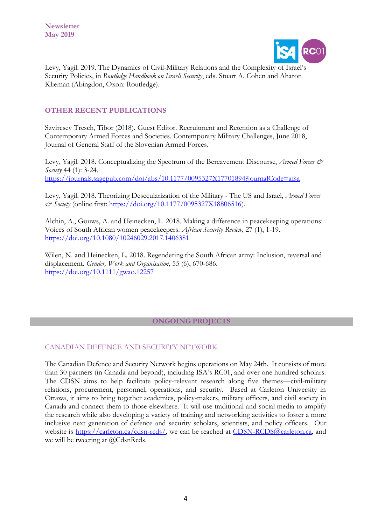

Levy, Yagil. 2019. The Dynamics of Civil-Military Relations and the Complexity of Israel's Security Policies, in *Routledge Handbook on Israeli Security*, eds. Stuart A. Cohen and Aharon Klieman (Abingdon, Oxon: Routledge).

# **OTHER RECENT PUBLICATIONS**

Szvircsev Tresch, Tibor (2018). Guest Editor. Recruitment and Retention as a Challenge of Contemporary Armed Forces and Societies. Contemporary Military Challenges, June 2018, Journal of General Staff of the Slovenian Armed Forces.

Levy, Yagil. 2018. Conceptualizing the Spectrum of the Bereavement Discourse, *Armed Forces & Society* 44 (1): 3-24. <https://journals.sagepub.com/doi/abs/10.1177/0095327X17701894?journalCode=afsa>

Levy, Yagil. 2018. Theorizing Desecularization of the Military - The US and Israel, *Armed Forces & Society* (online first: [https://doi.org/10.1177/0095327X18806516\)](https://doi.org/10.1177/0095327X18806516).

Alchin, A., Gouws, A. and Heinecken, L. 2018. Making a difference in peacekeeping operations: Voices of South African women peacekeepers. *African Security Review*, 27 (1), 1-19. <https://doi.org/10.1080/10246029.2017.1406381>

Wilen, N. and Heinecken, L. 2018. Regendering the South African army: Inclusion, reversal and displacement. *Gender, Work and Organisation*, 55 (6), 670-686. <https://doi.org/10.1111/gwao.12257>

## **ONGOING PROJECTS**

## CANADIAN DEFENCE AND SECURITY NETWORK

The Canadian Defence and Security Network begins operations on May 24th. It consists of more than 30 partners (in Canada and beyond), including ISA's RC01, and over one hundred scholars. The CDSN aims to help facilitate policy-relevant research along five themes—civil-military relations, procurement, personnel, operations, and security. Based at Carleton University in Ottawa, it aims to bring together academics, policy-makers, military officers, and civil society in Canada and connect them to those elsewhere. It will use traditional and social media to amplify the research while also developing a variety of training and networking activities to foster a more inclusive next generation of defence and security scholars, scientists, and policy officers. Our website is [https://carleton.ca/cdsn-rcds/,](https://carleton.ca/cdsn-rcds/) we can be reached at [CDSN-RCDS@carleton.ca,](mailto:CDSN-RCDS@carleton.ca) and we will be tweeting at @CdsnRcds.